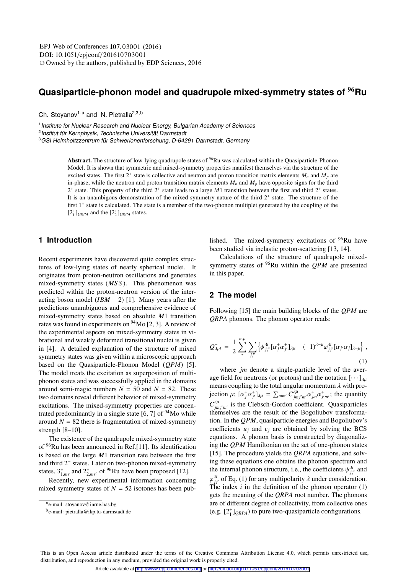# **Quasiparticle-phonon model and quadrupole mixed-symmetry states of** <sup>96</sup>**Ru**

Ch. Stoyanov<sup>1,a</sup> and N. Pietralla<sup>2,3,b</sup>

<sup>1</sup> Institute for Nuclear Research and Nuclear Energy, Bulgarian Academy of Sciences <sup>2</sup>Institut für Kernphysik, Technische Universität Darmstadt

<sup>3</sup>GSI Helmholtzzentrum für Schwerionenforschung, D-64291 Darmstadt, Germany

Abstract. The structure of low-lying quadrupole states of <sup>96</sup>Ru was calculated within the Quasiparticle-Phonon Model. It is shown that symmetric and mixed-symmetry properties manifest themselves via the structure of the excited states. The first  $2^+$  state is collective and neutron and proton transition matrix elements  $M_n$  and  $M_p$  are in-phase, while the neutron and proton transition matrix elements  $M_n$  and  $M_p$  have opposite signs for the third 2<sup>+</sup> state. This property of the third 2<sup>+</sup> state leads to a large *M*1 transition between the first and third 2<sup>+</sup> states. It is an unambigous demonstration of the mixed-symmetry nature of the third  $2<sup>+</sup>$  state. The structure of the first 1<sup>+</sup> state is calculated. The state is a member of the two-phonon multiplet generated by the coupling of the  $[2^+_1]_{QRPA}$  and the  $[2^+_2]_{QRPA}$  states.

# **1 Introduction**

Recent experiments have discovered quite complex structures of low-lying states of nearly spherical nuclei. It originates from proton-neutron oscillations and generates mixed-symmetry states (*MS S* ). This phenomenon was predicted within the proton-neutron version of the interacting boson model  $(IBM - 2)$  [1]. Many years after the predictions unambiguous and comprehensive evidence of mixed-symmetry states based on absolute *M*1 transition rates was found in experiments on 94Mo [2, 3]. A review of the experimental aspects on mixed-symmetry states in vibrational and weakly deformed transitional nuclei is given in [4]. A detailed explanation of the structure of mixed symmetry states was given within a microscopic approach based on the Quasiparticle-Phonon Model (*QPM*) [5]. The model treats the excitation as superposition of multiphonon states and was successfully applied in the domains around semi-magic numbers  $N = 50$  and  $N = 82$ . These two domains reveal different behavior of mixed-symmetry excitations. The mixed-symmetry properties are concentrated predominantly in a single state  $[6, 7]$  of  $94$ Mo while around  $N = 82$  there is fragmentation of mixed-symmetry strength [8–10].

The existence of the quadrupole mixed-symmetry state of 96Ru has been announced in Ref.[11]. Its identification is based on the large *M*1 transition rate between the first and third  $2^+$  states. Later on two-phonon mixed-symmetry states,  $3^{+}_{1,ms}$  and  $2^{+}_{2,ms}$ , of <sup>96</sup>Ru have been proposed [12].<br>Recently, now experimental information concerni

Recently, new experimental information concerning mixed symmetry states of  $N = 52$  isotones has been published. The mixed-symmetry excitations of  $96$ Ru have been studied via inelastic proton-scattering [13, 14].

Calculations of the structure of quadrupole mixedsymmetry states of 96Ru within the *QPM* are presented in this paper.

### **2 The model**

Following [15] the main building blocks of the *QPM* are *QRPA* phonons. The phonon operator reads:

$$
Q_{\lambda\mu i}^{+} = \frac{1}{2} \sum_{\tau}^{n,p} \sum_{jj'} \left\{ \psi_{jj'}^{\lambda i} [\alpha_{j}^{+} \alpha_{j'}^{+}]_{\lambda\mu} - (-1)^{\lambda-\mu} \varphi_{jj'}^{\lambda i} [\alpha_{j'} \alpha_{j}]_{\lambda-\mu} \right\},
$$
\n(1)

where *jm* denote a single-particle level of the average field for neutrons (or protons) and the notation  $[\cdots]_{\lambda\mu}$ means coupling to the total angular momentum  $\lambda$  with projection  $\mu$ ;  $[\alpha^+_{j}\alpha^+_{j'}]_{\lambda\mu} = \sum_{mm'} \overline{C}^{\lambda\mu}_{jm'm'}\alpha^+_{jm}\alpha^+_{j'm'};$  the quantity  $C_{imj'm'}^{\lambda\mu}$  is the Clebsch-Gordon coefficient. Quasiparticles themselves are the result of the Bogoliubov transformation. In the *QPM*, quasiparticle energies and Bogoliubov's coefficients  $u_j$  and  $v_j$  are obtained by solving the BCS equations. A phonon basis is constructed by diagonalizing the *QPM* Hamiltonian on the set of one-phonon states [15]. The procedure yields the *QRPA* equations, and solving these equations one obtains the phonon spectrum and the internal phonon structure, i.e., the coefficients  $\psi_{jj}^{di}$  and  $\psi_{jj}^{di}$  and  $\psi_{jj}^{di}$  and  $\psi_{jj}^{di}$  $\varphi_{j}^{j}$  of Eq. (1) for any multipolarity  $\lambda$  under consideration.<br>The index *i* in the definition of the phonon operator (1) The index  $i$  in the definition of the phonon operator  $(1)$ gets the meaning of the *QRPA* root number. The phonons are of different degree of collectivity, from collective ones (e.g.  $[2^+_{1}]_{QRPA}$ ) to pure two-quasiparticle configurations.

ae-mail: stoyanov@inrne.bas.bg

be-mail: pietralla@ikp.tu-darmstadt.de

This is an Open Access article distributed under the terms of the Creative Commons Attribution License 4.0, which permits unrestricted use. distribution, and reproduction in any medium, provided the original work is properly cited.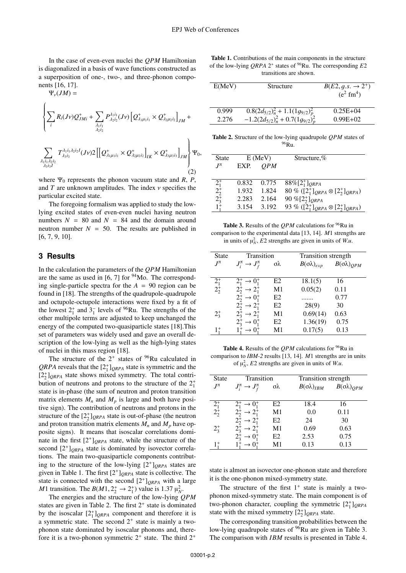In the case of even-even nuclei the *QPM* Hamiltonian is diagonalized in a basis of wave functions constructed as a superposition of one-, two-, and three-phonon components [16, 17].

$$
\Psi_{\nu}(JM) =
$$

 $\overline{a}$ 

$$
\left\{\sum_{i} R_{i}(Jv) Q_{JMi}^{+} + \sum_{\lambda_{1}i_{1}} P_{\lambda_{2}i_{2}}^{\lambda_{1}i_{1}}(Jv) \left[Q_{\lambda_{1}\mu_{1}i_{1}}^{+} \times Q_{\lambda_{2}\mu_{2}i_{2}}^{+}\right]_{JM} + \right\}\n\sum_{\lambda_{1}i_{1}\lambda_{2}i_{2}} T_{\lambda_{3}i_{3}}^{\lambda_{1}i_{1}\lambda_{2}i_{2}}(Jv) 2 \left[\left[Q_{\lambda_{1}\mu_{1}i_{1}}^{+} \times Q_{\lambda_{2}\mu_{2}i_{2}}^{+}\right]_{IK} \times Q_{\lambda_{3}\mu_{3}i_{3}}^{+}\right]_{JM}\n\right\}\Psi_{0},
$$
\n(2)

where  $\Psi_0$  represents the phonon vacuum state and *R*, *P*, and  $T$  are unknown amplitudes. The index  $\nu$  specifies the particular excited state.

The foregoing formalism was applied to study the lowlying excited states of even-even nuclei having neutron numbers  $N = 80$  and  $N = 84$  and the domain around neutron number  $N = 50$ . The results are published in [6, 7, 9, 10].

# **3 Results**

In the calculation the parameters of the *QPM* Hamiltonian are the same as used in  $[6, 7]$  for  $94$ Mo. The corresponding single-particle spectra for the  $A = 90$  region can be found in [18]. The strengths of the quadrupole-quadrupole and octupole-octupole interactions were fixed by a fit of the lowest  $2^+_1$  and  $3^-_1$  levels of <sup>96</sup>Ru. The strengths of the other multipole terms are adjusted to keep unchanged the energy of the computed two-quasiparticle states [18].This set of parameters was widely used and gave an overall description of the low-lying as well as the high-lying states of nuclei in this mass region [18].

The structure of the  $2^+$  states of  $96$ Ru calculated in *QRPA* reveals that the  $[2^+_1]_{QRPA}$  state is symmetric and the  $[2^+_2]_{QRPA}$  state shows mixed symmetry. The total contribution of neutrons and protons to the structure of the  $2^+_1$ state is in-phase (the sum of neutron and proton transition matrix elements  $M_n$  and  $M_p$  is large and both have positive sign). The contribution of neutrons and protons in the structure of the  $[2^+_2]_{QRPA}$  state is out-of-phase (the neutron and proton transition matrix elements  $M_n$  and  $M_p$  have opposite signs). It means that isoscalar correlations dominate in the first  $[2^+]_{ORPA}$  state, while the structure of the second  $[2^+]_{ORPA}$  state is dominated by isovector correlations. The main two-quasiparticle components contributing to the structure of the low-lying  $[2^+]_{ORPA}$  states are given in Table 1. The first  $[2^+]_{ORPA}$  state is collective. The state is connected with the second  $[2^+]_{QRPA}$  with a large *M*1 transition. The *B*(*M*1,  $2^+$   $\rightarrow$   $2^+$ ) value is 1.37  $\mu_N^2$ .<br>The energies and the structure of the low-lying *C* 

The energies and the structure of the low-lying *QPM* states are given in Table 2. The first  $2^+$  state is dominated by the isoscalar  $[2^+_1]_{QRPA}$  component and therefore it is a symmetric state. The second  $2^+$  state is mainly a twophonon state dominated by isoscalar phonons and, therefore it is a two-phonon symmetric  $2^+$  state. The third  $2^+$ 

Table 1. Contributions of the main components in the structure of the low-lying *QRPA* 2<sup>+</sup> states of 96Ru. The corresponding *E*2 transitions are shown.

| E(MeV) | Structure                                                                          | $B(E2, g.s. \rightarrow 2^+)$<br>$(e^2 \text{ fm}^4)$ |
|--------|------------------------------------------------------------------------------------|-------------------------------------------------------|
| 0.999  |                                                                                    | $0.25E + 04$                                          |
| 2.276  | $\frac{0.8(2d_{5/2})_n^2+1.1(1g_{9/2})_p^2}{-1.2(2d_{5/2})_n^2+0.7(1g_{9/2})_p^2}$ | $0.99E+02$                                            |
|        |                                                                                    |                                                       |

Table 2. Structure of the low-lying quadrupole *QPM* states of <sup>96</sup>Ru.

| <b>State</b>          |       | $E$ (MeV)  | Structure,%                                    |
|-----------------------|-------|------------|------------------------------------------------|
| $J^{\pi}$             | EXP.  | <i>OPM</i> |                                                |
|                       |       |            |                                                |
|                       | 0.832 | 0.775      | $88\% [2^+_1]_{QRPA}$                          |
| $\frac{2^+_1}{2^+_2}$ | 1.932 | 1.824      | 80 % $([2^+_1]_{QRPA} \otimes [2^+_2]_{QRPA})$ |
|                       | 2.283 | 2.164      | 90 % $[2^+_2]_{ORPA}$                          |
| $1^{\frac{1}{4}}$     | 3.154 | 3.192      | 93 % $([2^+_1]_{QRPA} \otimes [2^+_2]_{QRPA})$ |

Table 3. Results of the *OPM* calculations for <sup>96</sup>Ru in comparison to the experimental data [13, 14]. *M*1 strengths are in units of  $\mu_N^2$ ,  $\overline{E}2$  strengths are given in units of *W.u.* 

| <b>State</b> | Transition                        |                | Transition strength       |                           |
|--------------|-----------------------------------|----------------|---------------------------|---------------------------|
| $J^{\pi}$    | $J_i^{\pi} \to J_f^{\pi}$         | σλ             | $B(\sigma \lambda)_{exp}$ | $B(\sigma \lambda)_{OPM}$ |
|              |                                   |                |                           |                           |
| $2^{+}_{1}$  | $2^+_1 \rightarrow 0^+_1$         | E2             | 18.1(5)                   | 16                        |
| $2^{+}_{2}$  | $2^{+}_{2} \rightarrow 2^{+}_{1}$ | M1             | 0.05(2)                   | 0.11                      |
|              | $2^+_2 \rightarrow 0^+_1$         | E <sub>2</sub> |                           | 0.77                      |
|              | $2^{+}_{2} \rightarrow 2^{+}_{1}$ | E <sub>2</sub> | 28(9)                     | 30                        |
| $2^{+}_{3}$  | $2^+_3 \rightarrow 2^+_1$         | M1             | 0.69(14)                  | 0.63                      |
|              | $2^+_3 \rightarrow 0^+_1$         | E <sub>2</sub> | 1.36(19)                  | 0.75                      |
| $1^+$        | $1^+ \to 0^+$                     | M1             | 0.17(5)                   | 0.13                      |

Table 4. Results of the *QPM* calculations for <sup>96</sup>Ru in comparison to *IBM-2* results [13, 14]. *M*1 strengths are in units of  $\mu_N^2$ , *E*2 strengths are given in units of *W.u.* 

| <b>State</b> | Transition                                  |                 | Transition strength       |                           |
|--------------|---------------------------------------------|-----------------|---------------------------|---------------------------|
| $I^{\pi}$    | $J_i^{\pi} \to J_f^{\pi}$                   | $\sigma\lambda$ | $B(\sigma \lambda)_{IBM}$ | $B(\sigma \lambda)_{OPM}$ |
|              |                                             |                 |                           |                           |
| $2^{+}_{1}$  | $2^+$ $\rightarrow 0^+$                     | E2              | 18.4                      | 16                        |
| $2^{+}_{2}$  | $2^+_2 \rightarrow 2^+_1$                   | M1              | 0.0                       | 0.11                      |
|              | $\rightarrow$ 2 <sup>+</sup><br>$2^{+}_{2}$ | E <sub>2</sub>  | 24                        | 30                        |
| $2^{+}_{3}$  | $\rightarrow$ 2 <sup>+</sup><br>$2^{+}_{3}$ | M1              | 0.69                      | 0.63                      |
|              | $\rightarrow 0^+$                           | E2              | 2.53                      | 0.75                      |
| 1†           |                                             | M1              | 0.13                      | 0.13                      |

state is almost an isovector one-phonon state and therefore it is the one-phonon mixed-symmetry state.

The structure of the first  $1^+$  state is mainly a twophonon mixed-symmetry state. The main component is of two-phonon character, coupling the symmetric  $[2^+_1]_{QRPA}$ state with the mixed symmetry  $[2^+_2]_{QRPA}$  state.

The corresponding transition probabilities between the low-lying quadrupole states of <sup>96</sup>Ru are given in Table 3. The comparison with *IBM* results is presented in Table 4.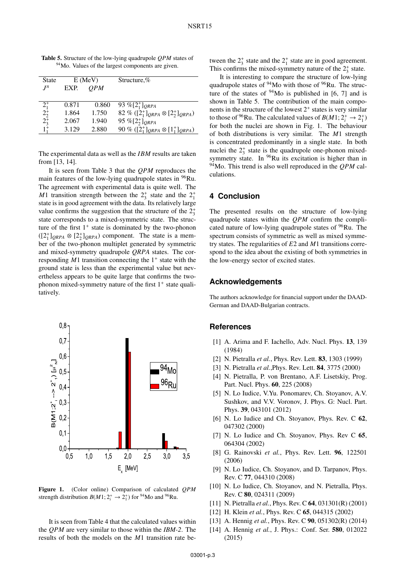| <b>State</b> |       | $E$ (MeV)  | Structure, $%$                                   |
|--------------|-------|------------|--------------------------------------------------|
| $I^{\pi}$    | EXP.  | <i>OPM</i> |                                                  |
|              |       |            |                                                  |
| $2^{+}_{1}$  | 0.871 | 0.860      | 93 % $[2^+_{1}]_{QRPA}$                          |
| $2^{+}_{2}$  | 1.864 | 1.750      | 82 % ( $[2^+_1]_{QRPA} \otimes [2^+_2]_{QRPA}$ ) |
| $2^{+}_{3}$  | 2.067 | 1.940      | 95 % $[2^+_{2}]_{QRPA}$                          |
| $1^{+}$      | 3.129 | 2.880      | 90 % $([2^+_1]_{QRPA} \otimes [1^+_1]_{QRPA})$   |

Table 5. Structure of the low-lying quadrupole *QPM* states of <sup>94</sup>Mo. Values of the largest components are given.

The experimental data as well as the *IBM* results are taken from [13, 14].

It is seen from Table 3 that the *QPM* reproduces the main features of the low-lying quadrupole states in <sup>96</sup>Ru. The agreement with experimental data is quite well. The *M*1 transition strength between the  $2^+_3$  state and the  $2^+_1$ state is in good agreement with the data. Its relatively large value confirms the suggestion that the structure of the  $2^+_3$ state corresponds to a mixed-symmetric state. The structure of the first  $1^+$  state is dominated by the two-phonon  $([2^+_1]_{QRPA} \otimes [2^+_2]_{QRPA})$  component. The state is a member of the two-phonon multiplet generated by symmetric and mixed-symmetry quadrupole *QRPA* states. The corresponding  $M1$  transition connecting the  $1^+$  state with the ground state is less than the experimental value but nevertheless appears to be quite large that confirms the twophonon mixed-symmetry nature of the first  $1^+$  state qualitatively.



Figure 1. (Color online) Comparison of calculated *QPM* strength distribution  $B(M1; 2^+_i \rightarrow 2^+_1)$  for <sup>94</sup>Mo and <sup>96</sup>Ru.

It is seen from Table 4 that the calculated values within the *QPM* are very similar to those within the *IBM-2*. The results of both the models on the *M*1 transition rate between the  $2^+_3$  state and the  $2^+_1$  state are in good agreement. This confirms the mixed-symmetry nature of the  $2^+_3$  state.

It is interesting to compare the structure of low-lying quadrupole states of  $94M\sigma$  with those of  $96Ru$ . The structure of the states of  $94Mo$  is published in [6, 7] and is shown in Table 5. The contribution of the main components in the structure of the lowest  $2^+$  states is very similar to those of <sup>96</sup>Ru. The calculated values of  $B(M1; 2^+_i \rightarrow 2^+_1)$ for both the nuclei are shown in Fig. 1. The behaviour of both distributions is very similar. The *M*1 strength is concentrated predominantly in a single state. In both nuclei the  $2^+_3$  state is the quadrupole one-phonon mixedsymmetry state. In  $96$ Ru its excitation is higher than in 94Mo. This trend is also well reproduced in the *QPM* calculations.

# **4 Conclusion**

The presented results on the structure of low-lying quadrupole states within the *QPM* confirm the complicated nature of low-lying quadrupole states of  $96$ Ru. The spectrum consists of symmetric as well as mixed symmetry states. The regularities of *E*2 and *M*1 transitions correspond to the idea about the existing of both symmetries in the low-energy sector of excited states.

#### **Acknowledgements**

The authors acknowledge for financial support under the DAAD-German and DAAD-Bulgarian contracts.

#### **References**

- [1] A. Arima and F. Iachello, Adv. Nucl. Phys. 13, 139 (1984)
- [2] N. Pietralla *et al.*, Phys. Rev. Lett. 83, 1303 (1999)
- [3] N. Pietralla *et al.*,Phys. Rev. Lett. 84, 3775 (2000)
- [4] N. Pietralla, P. von Brentano, A.F. Lisetskiy, Prog. Part. Nucl. Phys. 60, 225 (2008)
- [5] N. Lo Iudice, V.Yu. Ponomarev, Ch. Stoyanov, A.V. Sushkov, and V.V. Voronov, J. Phys. G: Nucl. Part. Phys. 39, 043101 (2012)
- [6] N. Lo Iudice and Ch. Stoyanov, Phys. Rev. C 62, 047302 (2000)
- [7] N. Lo Iudice and Ch. Stoyanov, Phys. Rev C 65, 064304 (2002)
- [8] G. Rainovski *et al.*, Phys. Rev. Lett. 96, 122501 (2006)
- [9] N. Lo Iudice, Ch. Stoyanov, and D. Tarpanov, Phys. Rev. C 77, 044310 (2008)
- [10] N. Lo Iudice, Ch. Stoyanov, and N. Pietralla, Phys. Rev. C 80, 024311 (2009)
- [11] N. Pietralla *et al.*, Phys. Rev. C 64, 031301(R) (2001)
- [12] H. Klein *et al.*, Phys. Rev. C **65**, 044315 (2002)
- [13] A. Hennig *et al.*, Phys. Rev. C 90, 051302(R) (2014)
- [14] A. Hennig *et al.*, J. Phys.: Conf. Ser. **580**, 012022 (2015)